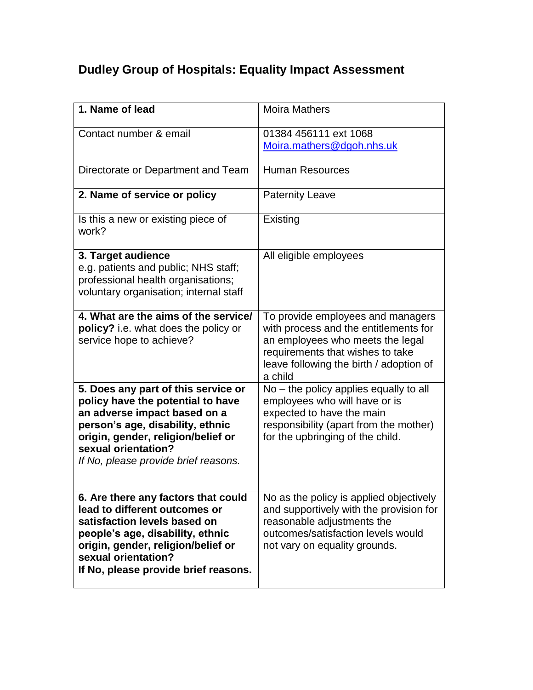## **Dudley Group of Hospitals: Equality Impact Assessment**

| 1. Name of lead                                                                                                                                                                                                                                   | <b>Moira Mathers</b>                                                                                                                                                                                     |
|---------------------------------------------------------------------------------------------------------------------------------------------------------------------------------------------------------------------------------------------------|----------------------------------------------------------------------------------------------------------------------------------------------------------------------------------------------------------|
| Contact number & email                                                                                                                                                                                                                            | 01384 456111 ext 1068<br>Moira.mathers@dgoh.nhs.uk                                                                                                                                                       |
| Directorate or Department and Team                                                                                                                                                                                                                | <b>Human Resources</b>                                                                                                                                                                                   |
| 2. Name of service or policy                                                                                                                                                                                                                      | <b>Paternity Leave</b>                                                                                                                                                                                   |
| Is this a new or existing piece of<br>work?                                                                                                                                                                                                       | Existing                                                                                                                                                                                                 |
| 3. Target audience<br>e.g. patients and public; NHS staff;<br>professional health organisations;<br>voluntary organisation; internal staff                                                                                                        | All eligible employees                                                                                                                                                                                   |
| 4. What are the aims of the service/<br>policy? i.e. what does the policy or<br>service hope to achieve?                                                                                                                                          | To provide employees and managers<br>with process and the entitlements for<br>an employees who meets the legal<br>requirements that wishes to take<br>leave following the birth / adoption of<br>a child |
| 5. Does any part of this service or<br>policy have the potential to have<br>an adverse impact based on a<br>person's age, disability, ethnic<br>origin, gender, religion/belief or<br>sexual orientation?<br>If No, please provide brief reasons. | $No$ – the policy applies equally to all<br>employees who will have or is<br>expected to have the main<br>responsibility (apart from the mother)<br>for the upbringing of the child.                     |
| 6. Are there any factors that could<br>lead to different outcomes or<br>satisfaction levels based on<br>people's age, disability, ethnic<br>origin, gender, religion/belief or<br>sexual orientation?<br>If No, please provide brief reasons.     | No as the policy is applied objectively<br>and supportively with the provision for<br>reasonable adjustments the<br>outcomes/satisfaction levels would<br>not vary on equality grounds.                  |